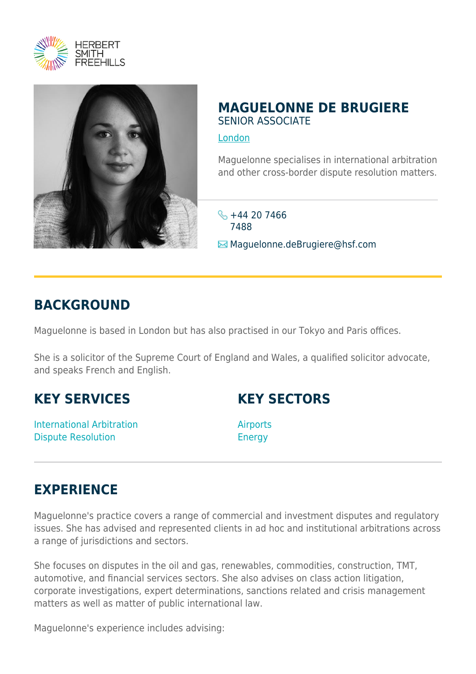



## **MAGUELONNE DE BRUGIERE** SENIOR ASSOCIATE

[London](https://www.herbertsmithfreehills.com/lang-de/where-we-work/london)

Maguelonne specialises in international arbitration and other cross-border dispute resolution matters.

 $\frac{12}{144}$  20 7466 7488

**Maguelonne.deBrugiere@hsf.com** 

## **BACKGROUND**

Maguelonne is based in London but has also practised in our Tokyo and Paris offices.

She is a solicitor of the Supreme Court of England and Wales, a qualified solicitor advocate, and speaks French and English.

## **KEY SERVICES**

International Arbitration Dispute Resolution

**KEY SECTORS**

**Airports** Energy

## **EXPERIENCE**

Maguelonne's practice covers a range of commercial and investment disputes and regulatory issues. She has advised and represented clients in ad hoc and institutional arbitrations across a range of jurisdictions and sectors.

She focuses on disputes in the oil and gas, renewables, commodities, construction, TMT, automotive, and financial services sectors. She also advises on class action litigation, corporate investigations, expert determinations, sanctions related and crisis management matters as well as matter of public international law.

Maguelonne's experience includes advising: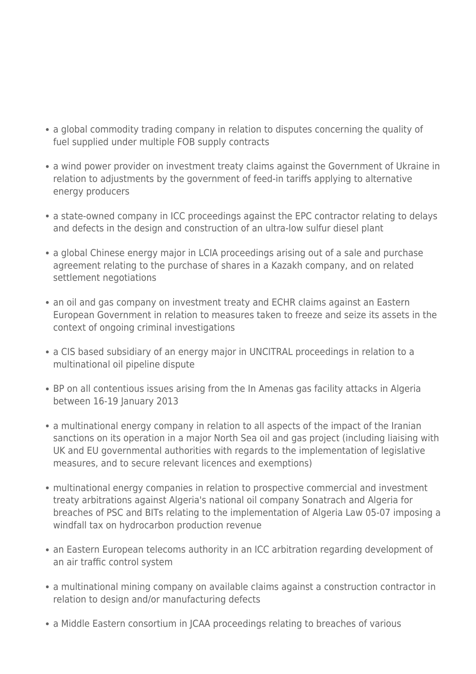- a global commodity trading company in relation to disputes concerning the quality of fuel supplied under multiple FOB supply contracts
- a wind power provider on investment treaty claims against the Government of Ukraine in relation to adjustments by the government of feed-in tariffs applying to alternative energy producers
- a state-owned company in ICC proceedings against the EPC contractor relating to delays and defects in the design and construction of an ultra-low sulfur diesel plant
- a global Chinese energy major in LCIA proceedings arising out of a sale and purchase agreement relating to the purchase of shares in a Kazakh company, and on related settlement negotiations
- an oil and gas company on investment treaty and ECHR claims against an Eastern European Government in relation to measures taken to freeze and seize its assets in the context of ongoing criminal investigations
- a CIS based subsidiary of an energy major in UNCITRAL proceedings in relation to a multinational oil pipeline dispute
- BP on all contentious issues arising from the In Amenas gas facility attacks in Algeria between 16-19 January 2013
- a multinational energy company in relation to all aspects of the impact of the Iranian sanctions on its operation in a major North Sea oil and gas project (including liaising with UK and EU governmental authorities with regards to the implementation of legislative measures, and to secure relevant licences and exemptions)
- multinational energy companies in relation to prospective commercial and investment treaty arbitrations against Algeria's national oil company Sonatrach and Algeria for breaches of PSC and BITs relating to the implementation of Algeria Law 05-07 imposing a windfall tax on hydrocarbon production revenue
- an Eastern European telecoms authority in an ICC arbitration regarding development of an air traffic control system
- a multinational mining company on available claims against a construction contractor in relation to design and/or manufacturing defects
- a Middle Eastern consortium in JCAA proceedings relating to breaches of various